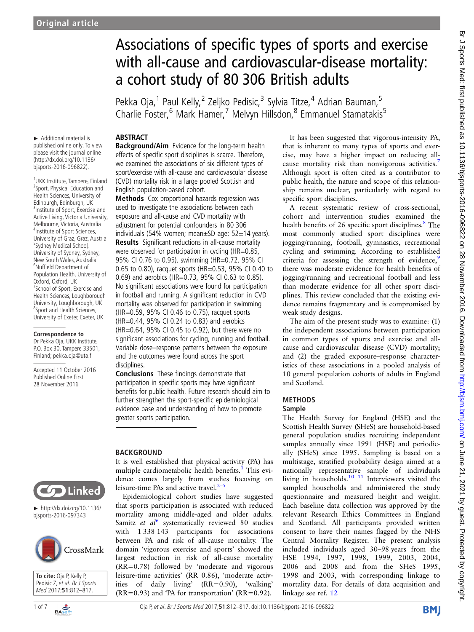# Associations of specific types of sports and exercise with all-cause and cardiovascular-disease mortality: a cohort study of 80 306 British adults

Pekka Oja,<sup>1</sup> Paul Kelly,<sup>2</sup> Zeljko Pedisic,<sup>3</sup> Sylvia Titze,<sup>4</sup> Adrian Bauman,<sup>5</sup> Charlie Foster,<sup>6</sup> Mark Hamer,<sup>7</sup> Melvyn Hillsdon,<sup>8</sup> Emmanuel Stamatakis<sup>5</sup>

### ABSTRACT

► Additional material is published online only. To view please visit the journal online (http://dx.doi.org/10.1136/ bjsports-2016-096822).

1 UKK Institute, Tampere, Finland 2 Sport, Physical Education and Health Sciences, University of Edinburgh, Edinburgh, UK 3 Institute of Sport, Exercise and Active Living, Victoria University, Melbourne, Victoria, Australia 4 Institute of Sport Sciences, University of Graz, Graz, Austria 5 Sydney Medical School, University of Sydney, Sydney, New South Wales, Australia 6 Nuffield Department of Population Health, University of Oxford, Oxford, UK 7 School of Sport, Exercise and Health Sciences, Loughborough University, Loughborough, UK 8 Sport and Health Sciences, University of Exeter, Exeter, UK

### **Correspondence to**

Dr Pekka Oja, UKK Institute, P.O. Box 30, Tampere 33501, Finland; pekka.oja@uta.fi

Accepted 11 October 2016 Published Online First 28 November 2016

Background/Aim Evidence for the long-term health effects of specific sport disciplines is scarce. Therefore, we examined the associations of six different types of sport/exercise with all-cause and cardiovascular disease (CVD) mortality risk in a large pooled Scottish and English population-based cohort.

Methods Cox proportional hazards regression was used to investigate the associations between each exposure and all-cause and CVD mortality with adjustment for potential confounders in 80 306 individuals (54% women; mean $\pm$ SD age: 52 $\pm$ 14 years). Results Significant reductions in all-cause mortality were observed for participation in cycling (HR=0.85, 95% CI 0.76 to 0.95), swimming (HR=0.72, 95% CI 0.65 to 0.80), racquet sports (HR=0.53, 95% CI 0.40 to 0.69) and aerobics (HR=0.73, 95% CI 0.63 to 0.85). No significant associations were found for participation in football and running. A significant reduction in CVD mortality was observed for participation in swimming (HR=0.59, 95% CI 0.46 to 0.75), racquet sports (HR=0.44, 95% CI 0.24 to 0.83) and aerobics (HR=0.64, 95% CI 0.45 to 0.92), but there were no significant associations for cycling, running and football.

Variable dose–response patterns between the exposure and the outcomes were found across the sport disciplines.

Conclusions These findings demonstrate that participation in specific sports may have significant benefits for public health. Future research should aim to further strengthen the sport-specific epidemiological evidence base and understanding of how to promote greater sports participation.

# BACKGROUND



► http://dx.doi.org/10.1136/ bjsports-2016-097343





It is well established that physical activity (PA) has multiple cardiometabolic health benefits.<sup>[1](#page-5-0)</sup> This evidence comes largely from studies focusing on leisure-time PAs and active travel. $2-5$  $2-5$ 

Epidemiological cohort studies have suggested that sports participation is associated with reduced mortality among middle-aged and older adults. Samitz et  $al^6$  $al^6$  systematically reviewed 80 studies with 1 338 143 participants for associations between PA and risk of all-cause mortality. The domain 'vigorous exercise and sports' showed the largest reduction in risk of all-cause mortality (RR=0.78) followed by 'moderate and vigorous leisure-time activities' (RR 0.86), 'moderate activities of daily living' (RR=0.90), 'walking'  $(RR=0.93)$  and 'PA for transportation'  $(RR=0.92)$ .

It has been suggested that vigorous-intensity PA, that is inherent to many types of sports and exercise, may have a higher impact on reducing all-cause mortality risk than nonvigorous activities.<sup>[7](#page-5-0)</sup> Although sport is often cited as a contributor to public health, the nature and scope of this relationship remains unclear, particularly with regard to specific sport disciplines.

A recent systematic review of cross-sectional, cohort and intervention studies examined the health benefits of 26 specific sport disciplines.<sup>[8](#page-5-0)</sup> The most commonly studied sport disciplines were jogging/running, football, gymnastics, recreational cycling and swimming. According to established criteria for assessing the strength of evidence,<sup>[9](#page-5-0)</sup> there was moderate evidence for health benefits of jogging/running and recreational football and less than moderate evidence for all other sport disciplines. This review concluded that the existing evidence remains fragmentary and is compromised by weak study designs.

The aim of the present study was to examine: (1) the independent associations between participation in common types of sports and exercise and allcause and cardiovascular disease (CVD) mortality; and (2) the graded exposure–response characteristics of these associations in a pooled analysis of 10 general population cohorts of adults in England and Scotland.

# METHODS

### Sample

The Health Survey for England (HSE) and the Scottish Health Survey (SHeS) are household-based general population studies recruiting independent samples annually since 1991 (HSE) and periodically (SHeS) since 1995. Sampling is based on a multistage, stratified probability design aimed at a nationally representative sample of individuals living in households.<sup>[10 11](#page-5-0)</sup> Interviewers visited the sampled households and administered the study questionnaire and measured height and weight. Each baseline data collection was approved by the relevant Research Ethics Committees in England and Scotland. All participants provided written consent to have their names flagged by the NHS Central Mortality Register. The present analysis included individuals aged 30–98 years from the HSE 1994, 1997, 1998, 1999, 2003, 2004, 2006 and 2008 and from the SHeS 1995, 1998 and 2003, with corresponding linkage to mortality data. For details of data acquisition and linkage see ref. [12](#page-5-0)

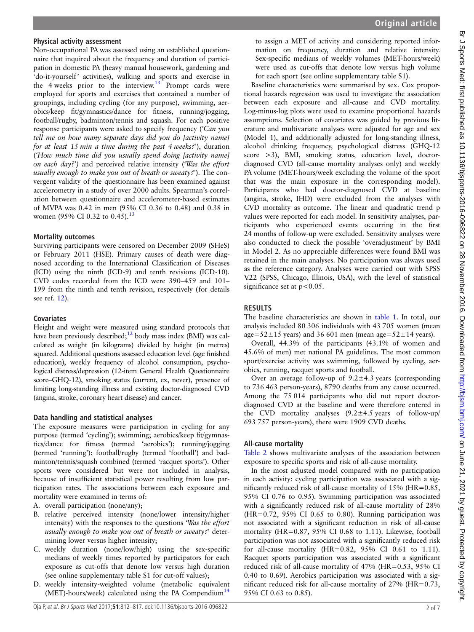### Physical activity assessment

Non-occupational PA was assessed using an established questionnaire that inquired about the frequency and duration of participation in domestic PA (heavy manual housework, gardening and 'do-it-yourself' activities), walking and sports and exercise in the 4 weeks prior to the interview. $13$  Prompt cards were employed for sports and exercises that contained a number of groupings, including cycling (for any purpose), swimming, aerobics/keep fit/gymnastics/dance for fitness, running/jogging, football/rugby, badminton/tennis and squash. For each positive response participants were asked to specify frequency ('Can you tell me on how many separate days did you do [activity name] for at least 15 min a time during the past 4 weeks?'), duration ('How much time did you usually spend doing [activity name] on each day?') and perceived relative intensity ('Was the effort usually enough to make you out of breath or sweaty?'). The convergent validity of the questionnaire has been examined against accelerometry in a study of over 2000 adults. Spearman's correlation between questionnaire and accelerometer-based estimates of MVPA was 0.42 in men (95% CI 0.36 to 0.48) and 0.38 in women (95% CI 0.32 to 0.45).<sup>[13](#page-5-0)</sup>

### Mortality outcomes

Surviving participants were censored on December 2009 (SHeS) or February 2011 (HSE). Primary causes of death were diagnosed according to the International Classification of Diseases (ICD) using the ninth (ICD-9) and tenth revisions (ICD-10). CVD codes recorded from the ICD were 390–459 and 101– 199 from the ninth and tenth revision, respectively (for details see ref. [12](#page-5-0)).

### **Covariates**

Height and weight were measured using standard protocols that have been previously described;<sup>[12](#page-5-0)</sup> body mass index (BMI) was calculated as weight (in kilograms) divided by height (in metres) squared. Additional questions assessed education level (age finished education), weekly frequency of alcohol consumption, psychological distress/depression (12-item General Health Questionnaire score–GHQ-12), smoking status (current, ex, never), presence of limiting long-standing illness and existing doctor-diagnosed CVD (angina, stroke, coronary heart disease) and cancer.

# Data handling and statistical analyses

The exposure measures were participation in cycling for any purpose (termed 'cycling'); swimming; aerobics/keep fit/gymnastics/dance for fitness (termed 'aerobics'); running/jogging (termed 'running'); football/rugby (termed 'football') and badminton/tennis/squash combined (termed 'racquet sports'). Other sports were considered but were not included in analysis, because of insufficient statistical power resulting from low participation rates. The associations between each exposure and mortality were examined in terms of:

- A. overall participation (none/any);
- B. relative perceived intensity (none/lower intensity/higher intensity) with the responses to the questions 'Was the effort usually enough to make you out of breath or sweaty?' determining lower versus higher intensity;
- C. weekly duration (none/low/high) using the sex-specific medians of weekly times reported by participators for each exposure as cut-offs that denote low versus high duration (see online [supplementary table S1](http://dx.doi.org/10.1136/bjsports-2016-096822) for cut-off values);
- D. weekly intensity-weighted volume (metabolic equivalent (MET)-hours/week) calculated using the PA Compendium<sup>14</sup>

to assign a MET of activity and considering reported information on frequency, duration and relative intensity. Sex-specific medians of weekly volumes (MET-hours/week) were used as cut-offs that denote low versus high volume for each sport (see online [supplementary table S1](http://dx.doi.org/10.1136/bjsports-2016-096822)).

Baseline characteristics were summarised by sex. Cox proportional hazards regression was used to investigate the association between each exposure and all-cause and CVD mortality. Log-minus-log plots were used to examine proportional hazards assumptions. Selection of covariates was guided by previous literature and multivariate analyses were adjusted for age and sex (Model 1), and additionally adjusted for long-standing illness, alcohol drinking frequency, psychological distress (GHQ-12 score >3), BMI, smoking status, education level, doctordiagnosed CVD (all-cause mortality analyses only) and weekly PA volume (MET-hours/week excluding the volume of the sport that was the main exposure in the corresponding model). Participants who had doctor-diagnosed CVD at baseline (angina, stroke, IHD) were excluded from the analyses with CVD mortality as outcome. The linear and quadratic trend p values were reported for each model. In sensitivity analyses, participants who experienced events occurring in the first 24 months of follow-up were excluded. Sensitivity analyses were also conducted to check the possible 'overadjustment' by BMI in Model 2. As no appreciable differences were found BMI was retained in the main analyses. No participation was always used as the reference category. Analyses were carried out with SPSS V.22 (SPSS, Chicago, Illinois, USA), with the level of statistical significance set at  $p < 0.05$ .

# RESULTS

The baseline characteristics are shown in [table 1](#page-2-0). In total, our analysis included 80 306 individuals with 43 705 women (mean age= $52\pm15$  years) and 36 601 men (mean age= $52\pm14$  years).

Overall, 44.3% of the participants (43.1% of women and 45.6% of men) met national PA guidelines. The most common sport/exercise activity was swimming, followed by cycling, aerobics, running, racquet sports and football.

Over an average follow-up of  $9.2 \pm 4.3$  years (corresponding to 736 463 person-years), 8790 deaths from any cause occurred. Among the 75 014 participants who did not report doctordiagnosed CVD at the baseline and were therefore entered in the CVD mortality analyses  $(9.2 \pm 4.5 \text{ years of } follow-up/$ 693 757 person-years), there were 1909 CVD deaths.

# All-cause mortality

[Table 2](#page-3-0) shows multivariate analyses of the association between exposure to specific sports and risk of all-cause mortality.

In the most adjusted model compared with no participation in each activity: cycling participation was associated with a significantly reduced risk of all-cause mortality of 15% (HR=0.85, 95% CI 0.76 to 0.95). Swimming participation was associated with a significantly reduced risk of all-cause mortality of 28%  $(HR=0.72, 95\% \text{ CI } 0.65 \text{ to } 0.80)$ . Running participation was not associated with a significant reduction in risk of all-cause mortality (HR=0.87, 95% CI 0.68 to 1.11). Likewise, football participation was not associated with a significantly reduced risk for all-cause mortality ( $HR=0.82$ ,  $95\%$  CI 0.61 to 1.11). Racquet sports participation was associated with a significant reduced risk of all-cause mortality of 47% (HR=0.53, 95% CI 0.40 to 0.69). Aerobics participation was associated with a significant reduced risk for all-cause mortality of 27% (HR=0.73, 95% CI 0.63 to 0.85).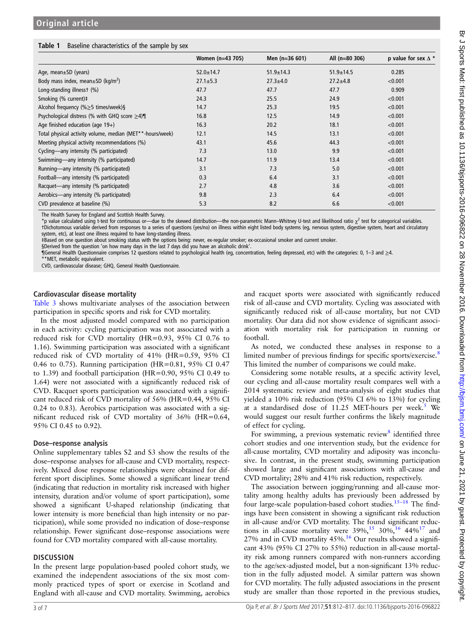# <span id="page-2-0"></span>Table 1 Baseline characteristics of the sample by sex

|                                                           | Women (n=43 705) | Men (n=36 601)  | All (n=80 306)  | p value for sex $\Delta$ * |
|-----------------------------------------------------------|------------------|-----------------|-----------------|----------------------------|
| Age, mean $\pm$ SD (years)                                | $52.0 \pm 14.7$  | $51.9 \pm 14.3$ | $51.9 \pm 14.5$ | 0.285                      |
| Body mass index, mean $\pm$ SD (kg/m <sup>2</sup> )       | $27.1 \pm 5.3$   | $27.3 \pm 4.0$  | $27.2 \pm 4.8$  | < 0.001                    |
| Long-standing illnesst (%)                                | 47.7             | 47.7            | 47.7            | 0.909                      |
| Smoking (% current)#                                      | 24.3             | 25.5            | 24.9            | < 0.001                    |
| Alcohol frequency (% $\geq$ 5 times/week)§                | 14.7             | 25.3            | 19.5            | < 0.001                    |
| Psychological distress (% with GHQ score $\geq$ 4)¶       | 16.8             | 12.5            | 14.9            | < 0.001                    |
| Age finished education (age $19+$ )                       | 16.3             | 20.2            | 18.1            | < 0.001                    |
| Total physical activity volume, median (MET**-hours/week) | 12.1             | 14.5            | 13.1            | < 0.001                    |
| Meeting physical activity recommendations (%)             | 43.1             | 45.6            | 44.3            | < 0.001                    |
| Cycling—any intensity (% participated)                    | 7.3              | 13.0            | 9.9             | < 0.001                    |
| Swimming—any intensity (% participated)                   | 14.7             | 11.9            | 13.4            | < 0.001                    |
| Running—any intensity (% participated)                    | 3.1              | 7.3             | 5.0             | < 0.001                    |
| Football—any intensity (% participated)                   | 0.3              | 6.4             | 3.1             | < 0.001                    |
| Racquet—any intensity (% participated)                    | 2.7              | 4.8             | 3.6             | < 0.001                    |
| Aerobics—any intensity (% participated)                   | 9.8              | 2.3             | 6.4             | < 0.001                    |
| CVD prevalence at baseline (%)                            | 5.3              | 8.2             | 6.6             | < 0.001                    |

The Health Survey for England and Scottish Health Survey.

\*p value calculated using t-test for continuous or—due to the skewed distribution—the non-parametric Mann–Whitney U-test and likelihood ratio  $\chi^2$  test for categorical variables. †Dichotomous variable derived from responses to a series of questions (yes/no) on illness within eight listed body systems (eg, nervous system, digestive system, heart and circulatory system, etc), at least one illness required to have long-standing illness.

‡Based on one question about smoking status with the options being: never, ex-regular smoker; ex-occasional smoker and current smoker.

§Derived from the question 'on how many days in the last 7 days did you have an alcoholic drink'

¶General Health Questionnaire comprises 12 questions related to psychological health (eg, concentration, feeling depressed, etc) with the categories: 0, 1–3 and ≥4. \*MET, metabolic equivalent.

CVD, cardiovascular disease; GHQ, General Health Questionnaire.

### Cardiovascular disease mortality

[Table 3](#page-4-0) shows multivariate analyses of the association between participation in specific sports and risk for CVD mortality.

In the most adjusted model compared with no participation in each activity: cycling participation was not associated with a reduced risk for CVD mortality (HR=0.93, 95% CI 0.76 to 1.16). Swimming participation was associated with a significant reduced risk of CVD mortality of 41% (HR=0.59, 95% CI 0.46 to 0.75). Running participation (HR=0.81, 95% CI 0.47 to 1.39) and football participation (HR=0.90, 95% CI 0.49 to 1.64) were not associated with a significantly reduced risk of CVD. Racquet sports participation was associated with a significant reduced risk of CVD mortality of 56% (HR=0.44, 95% CI 0.24 to 0.83). Aerobics participation was associated with a significant reduced risk of CVD mortality of 36% (HR=0.64, 95% CI 0.45 to 0.92).

### Dose–response analysis

Online supplementary tables S2 and S3 show the results of the dose–response analyses for all-cause and CVD mortality, respectively. Mixed dose response relationships were obtained for different sport disciplines. Some showed a significant linear trend (indicating that reduction in mortality risk increased with higher intensity, duration and/or volume of sport participation), some showed a significant U-shaped relationship (indicating that lower intensity is more beneficial than high intensity or no participation), while some provided no indication of dose–response relationship. Fewer significant dose–response associations were found for CVD mortality compared with all-cause mortality.

# **DISCUSSION**

In the present large population-based pooled cohort study, we examined the independent associations of the six most commonly practiced types of sport or exercise in Scotland and England with all-cause and CVD mortality. Swimming, aerobics

and racquet sports were associated with significantly reduced risk of all-cause and CVD mortality. Cycling was associated with significantly reduced risk of all-cause mortality, but not CVD mortality. Our data did not show evidence of significant association with mortality risk for participation in running or football.

As noted, we conducted these analyses in response to a limited number of previous findings for specific sports/exercise.<sup>[8](#page-5-0)</sup> This limited the number of comparisons we could make.

Considering some notable results, at a specific activity level, our cycling and all-cause mortality result compares well with a 2014 systematic review and meta-analysis of eight studies that yielded a 10% risk reduction (95% CI 6% to 13%) for cycling at a standardised dose of  $11.25$  $11.25$  MET-hours per week.<sup>5</sup> We would suggest our result further confirms the likely magnitude of effect for cycling.

For swimming, a previous systematic review<sup>[8](#page-5-0)</sup> identified three cohort studies and one intervention study, but the evidence for all-cause mortality, CVD mortality and adiposity was inconclusive. In contrast, in the present study, swimming participation showed large and significant associations with all-cause and CVD mortality; 28% and 41% risk reduction, respectively.

The association between jogging/running and all-cause mortality among healthy adults has previously been addressed by four large-scale population-based cohort studies.<sup>[15](#page-5-0)-18</sup> The findings have been consistent in showing a significant risk reduction in all-cause and/or CVD mortality. The found significant reductions in all-cause mortality were  $39\%,^{15}$  $39\%,^{15}$  $39\%,^{15}$  30%,  $^{16}$  44%<sup>[17](#page-6-0)</sup> and 27% and in CVD mortality  $45\%$ .<sup>16</sup> Our results showed a significant 43% (95% CI 27% to 55%) reduction in all-cause mortality risk among runners compared with non-runners according to the age/sex-adjusted model, but a non-significant 13% reduction in the fully adjusted model. A similar pattern was shown for CVD mortality. The fully adjusted associations in the present study are smaller than those reported in the previous studies,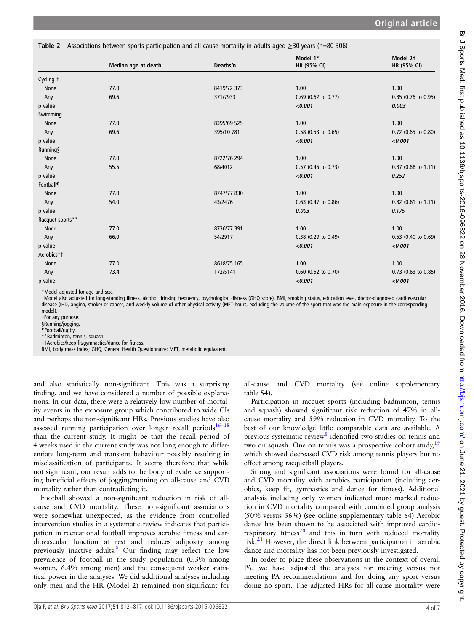<span id="page-3-0"></span>

|                  | Table 2 Associations between sports participation and all-cause mortality in adults aged $\geq$ 30 years (n=80 306) |             | Model 1*              | Model 2t              |
|------------------|---------------------------------------------------------------------------------------------------------------------|-------------|-----------------------|-----------------------|
|                  | Median age at death                                                                                                 | Deaths/n    | HR (95% CI)           | HR (95% CI)           |
| Cycling ‡        |                                                                                                                     |             |                       |                       |
| None             | 77.0                                                                                                                | 8419/72 373 | 1.00                  | 1.00                  |
| Any              | 69.6                                                                                                                | 371/7933    | $0.69$ (0.62 to 0.77) | 0.85 (0.76 to 0.95)   |
| p value          |                                                                                                                     |             | < 0.001               | 0.003                 |
| Swimming         |                                                                                                                     |             |                       |                       |
| None             | 77.0                                                                                                                | 8395/69 525 | 1.00                  | 1.00                  |
| Any              | 69.6                                                                                                                | 395/10 781  | $0.58$ (0.53 to 0.65) | 0.72 (0.65 to 0.80)   |
| p value          |                                                                                                                     |             | < 0.001               | < 0.001               |
| <b>Running</b> § |                                                                                                                     |             |                       |                       |
| None             | 77.0                                                                                                                | 8722/76 294 | 1.00                  | 1.00                  |
| Any              | 55.5                                                                                                                | 68/4012     | 0.57 (0.45 to 0.73)   | 0.87 (0.68 to 1.11)   |
| p value          |                                                                                                                     |             | < 0.001               | 0.252                 |
| Football¶        |                                                                                                                     |             |                       |                       |
| None             | 77.0                                                                                                                | 8747/77830  | 1.00                  | 1.00                  |
| Any              | 54.0                                                                                                                | 43/2476     | 0.63 (0.47 to 0.86)   | 0.82 (0.61 to 1.11)   |
| p value          |                                                                                                                     |             | 0.003                 | 0.175                 |
| Racquet sports** |                                                                                                                     |             |                       |                       |
| None             | 77.0                                                                                                                | 8736/77 391 | 1.00                  | 1.00                  |
| Any              | 66.0                                                                                                                | 54/2917     | 0.38 (0.29 to 0.49)   | 0.53 (0.40 to 0.69)   |
| p value          |                                                                                                                     |             | < 0.001               | < 0.001               |
| Aerobicstt       |                                                                                                                     |             |                       |                       |
| None             | 77.0                                                                                                                | 8618/75 165 | 1.00                  | 1.00                  |
| Any              | 73.4                                                                                                                | 172/5141    | $0.60$ (0.52 to 0.70) | $0.73$ (0.63 to 0.85) |
| p value          |                                                                                                                     |             | < 0.001               | < 0.001               |

\*Model adjusted for age and sex.

†Model also adjusted for long-standing illness, alcohol drinking frequency, psychological distress (GHQ score), BMI, smoking status, education level, doctor-diagnosed cardiovascular disease (IHD, angina, stroke) or cancer, and weekly volume of other physical activity (MET-hours, excluding the volume of the sport that was the main exposure in the corresponding model).

‡For any purpose. §Running/jogging.

¶Football/rugby.

\*\*Badminton, tennis, squash.

††Aerobics/keep fit/gymnastics/dance for fitness.

BMI, body mass index; GHQ, General Health Questionnaire; MET, metabolic equivalent.

and also statistically non-significant. This was a surprising finding, and we have considered a number of possible explanations. In our data, there were a relatively low number of mortality events in the exposure group which contributed to wide CIs and perhaps the non-significant HRs. Previous studies have also assessed running participation over longer recall periods $16-18$ than the current study. It might be that the recall period of 4 weeks used in the current study was not long enough to differentiate long-term and transient behaviour possibly resulting in misclassification of participants. It seems therefore that while not significant, our result adds to the body of evidence supporting beneficial effects of jogging/running on all-cause and CVD mortality rather than contradicting it.

Football showed a non-significant reduction in risk of allcause and CVD mortality. These non-significant associations were somewhat unexpected, as the evidence from controlled intervention studies in a systematic review indicates that participation in recreational football improves aerobic fitness and cardiovascular function at rest and reduces adiposity among previously inactive adults.[8](#page-5-0) Our finding may reflect the low prevalence of football in the study population (0.3% among women, 6.4% among men) and the consequent weaker statistical power in the analyses. We did additional analyses including only men and the HR (Model 2) remained non-significant for

all-cause and CVD mortality (see online [supplementary](http://dx.doi.org/10.1136/bjsports-2016-096822) [table S4](http://dx.doi.org/10.1136/bjsports-2016-096822)).

Participation in racquet sports (including badminton, tennis and squash) showed significant risk reduction of 47% in allcause mortality and 59% reduction in CVD mortality. To the best of our knowledge little comparable data are available. A previous systematic review<sup>[8](#page-5-0)</sup> identified two studies on tennis and two on squash. One on tennis was a prospective cohort study,<sup>[19](#page-6-0)</sup> which showed decreased CVD risk among tennis players but no effect among racquetball players.

Strong and significant associations were found for all-cause and CVD mortality with aerobics participation (including aerobics, keep fit, gymnastics and dance for fitness). Additional analysis including only women indicated more marked reduction in CVD mortality compared with combined group analysis (50% versus 36%) (see online [supplementary table S4\)](http://dx.doi.org/10.1136/bjsports-2016-096822) Aerobic dance has been shown to be associated with improved cardiorespiratory fitness $^{20}$  $^{20}$  $^{20}$  and this in turn with reduced mortality risk. $^{21}$  $^{21}$  $^{21}$  However, the direct link between participation in aerobic dance and mortality has not been previously investigated.

In order to place these observations in the context of overall PA, we have adjusted the analyses for meeting versus not meeting PA recommendations and for doing any sport versus doing no sport. The adjusted HRs for all-cause mortality were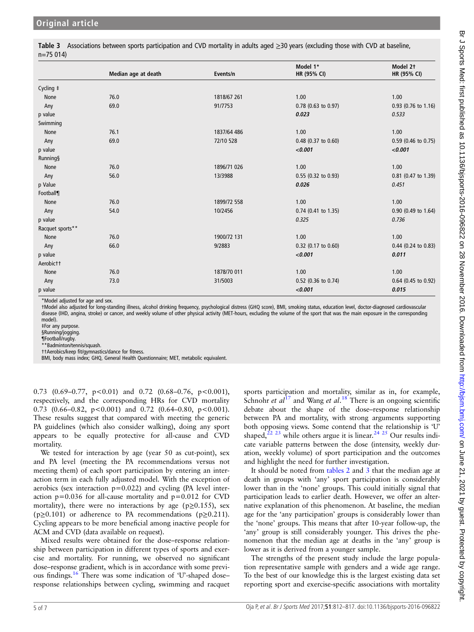<span id="page-4-0"></span>Table 3 Associations between sports participation and CVD mortality in adults aged ≥30 years (excluding those with CVD at baseline, n=75 014)

|                  |                     |             | Model 1*              | Model 2t              |
|------------------|---------------------|-------------|-----------------------|-----------------------|
|                  | Median age at death | Events/n    | HR (95% CI)           | HR (95% CI)           |
| Cycling ‡        |                     |             |                       |                       |
| None             | 76.0                | 1818/67 261 | 1.00                  | 1.00                  |
| Any              | 69.0                | 91/7753     | $0.78$ (0.63 to 0.97) | $0.93$ (0.76 to 1.16) |
| p value          |                     |             | 0.023                 | 0.533                 |
| Swimming         |                     |             |                       |                       |
| None             | 76.1                | 1837/64 486 | 1.00                  | 1.00                  |
| Any              | 69.0                | 72/10 528   | 0.48 (0.37 to 0.60)   | 0.59 (0.46 to 0.75)   |
| p value          |                     |             | < 0.001               | < 0.001               |
| <b>Running§</b>  |                     |             |                       |                       |
| None             | 76.0                | 1896/71 026 | 1.00                  | 1.00                  |
| Any              | 56.0                | 13/3988     | 0.55 (0.32 to 0.93)   | 0.81 (0.47 to 1.39)   |
| p Value          |                     |             | 0.026                 | 0.451                 |
| Football¶        |                     |             |                       |                       |
| None             | 76.0                | 1899/72 558 | 1.00                  | 1.00                  |
| Any              | 54.0                | 10/2456     | 0.74 (0.41 to 1.35)   | 0.90 (0.49 to 1.64)   |
| p value          |                     |             | 0.325                 | 0.736                 |
| Racquet sports** |                     |             |                       |                       |
| None             | 76.0                | 1900/72 131 | 1.00                  | 1.00                  |
| Any              | 66.0                | 9/2883      | 0.32 (0.17 to 0.60)   | $0.44$ (0.24 to 0.83) |
| p value          |                     |             | < 0.001               | 0.011                 |
| Aerobictt        |                     |             |                       |                       |
| None             | 76.0                | 1878/70 011 | 1.00                  | 1.00                  |
| Any              | 73.0                | 31/5003     | 0.52 (0.36 to 0.74)   | 0.64 (0.45 to 0.92)   |
| p value          |                     |             | < 0.001               | 0.015                 |

\*Model adjusted for age and sex.

†Model also adjusted for long-standing illness, alcohol drinking frequency, psychological distress (GHQ score), BMI, smoking status, education level, doctor-diagnosed cardiovascular disease (IHD, angina, stroke) or cancer, and weekly volume of other physical activity (MET-hours, excluding the volume of the sport that was the main exposure in the corresponding model).

‡For any purpose.

§Running/jogging.

¶Football/rugby.

\*\*Badminton/tennis/squash.

††Aerobics/keep fit/gymnastics/dance for fitness. BMI, body mass index; GHQ, General Health Questionnaire; MET, metabolic equivalent.

0.73 (0.69–0.77,  $p < 0.01$ ) and 0.72 (0.68–0.76,  $p < 0.001$ ), respectively, and the corresponding HRs for CVD mortality 0.73 (0.66–0.82,  $p < 0.001$ ) and 0.72 (0.64–0.80,  $p < 0.001$ ). These results suggest that compared with meeting the generic PA guidelines (which also consider walking), doing any sport appears to be equally protective for all-cause and CVD mortality.

We tested for interaction by age (year 50 as cut-point), sex and PA level (meeting the PA recommendations versus not meeting them) of each sport participation by entering an interaction term in each fully adjusted model. With the exception of aerobics (sex interaction  $p=0.022$ ) and cycling (PA level interaction  $p=0.036$  for all-cause mortality and  $p=0.012$  for CVD mortality), there were no interactions by age ( $p \ge 0.155$ ), sex ( $p\geq 0.101$ ) or adherence to PA recommendations ( $p\geq 0.211$ ). Cycling appears to be more beneficial among inactive people for ACM and CVD (data available on request).

Mixed results were obtained for the dose–response relationship between participation in different types of sports and exercise and mortality. For running, we observed no significant dose–response gradient, which is in accordance with some previous findings.[16](#page-6-0) There was some indication of 'U'-shaped dose– response relationships between cycling, swimming and racquet sports participation and mortality, similar as in, for example, Schnohr et  $al^{17}$  $al^{17}$  $al^{17}$  and Wang et  $al^{18}$  $al^{18}$  $al^{18}$  There is an ongoing scientific debate about the shape of the dose–response relationship between PA and mortality, with strong arguments supporting both opposing views. Some contend that the relationship is 'U' shaped,<sup>[22 23](#page-6-0)</sup> while others argue it is linear.<sup>[24 25](#page-6-0)</sup> Our results indicate variable patterns between the dose (intensity, weekly duration, weekly volume) of sport participation and the outcomes and highlight the need for further investigation.

It should be noted from [tables 2](#page-3-0) and 3 that the median age at death in groups with 'any' sport participation is considerably lower than in the 'none' groups. This could initially signal that participation leads to earlier death. However, we offer an alternative explanation of this phenomenon. At baseline, the median age for the 'any participation' groups is considerably lower than the 'none' groups. This means that after 10-year follow-up, the 'any' group is still considerably younger. This drives the phenomenon that the median age at deaths in the 'any' group is lower as it is derived from a younger sample.

The strengths of the present study include the large population representative sample with genders and a wide age range. To the best of our knowledge this is the largest existing data set reporting sport and exercise-specific associations with mortality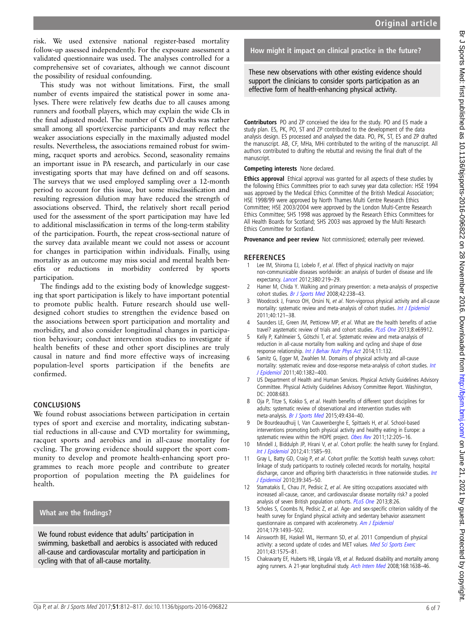<span id="page-5-0"></span>risk. We used extensive national register-based mortality follow-up assessed independently. For the exposure assessment a validated questionnaire was used. The analyses controlled for a comprehensive set of covariates, although we cannot discount the possibility of residual confounding.

This study was not without limitations. First, the small number of events impaired the statistical power in some analyses. There were relatively few deaths due to all causes among runners and football players, which may explain the wide CIs in the final adjusted model. The number of CVD deaths was rather small among all sport/exercise participants and may reflect the weaker associations especially in the maximally adjusted model results. Nevertheless, the associations remained robust for swimming, racquet sports and aerobics. Second, seasonality remains an important issue in PA research, and particularly in our case investigating sports that may have defined on and off seasons. The surveys that we used employed sampling over a 12-month period to account for this issue, but some misclassification and resulting regression dilution may have reduced the strength of associations observed. Third, the relatively short recall period used for the assessment of the sport participation may have led to additional misclassification in terms of the long-term stability of the participation. Fourth, the repeat cross-sectional nature of the survey data available meant we could not assess or account for changes in participation within individuals. Finally, using mortality as an outcome may miss social and mental health benefits or reductions in morbidity conferred by sports participation.

The findings add to the existing body of knowledge suggesting that sport participation is likely to have important potential to promote public health. Future research should use welldesigned cohort studies to strengthen the evidence based on the associations between sport participation and mortality and morbidity, and also consider longitudinal changes in participation behaviour; conduct intervention studies to investigate if health benefits of these and other sport disciplines are truly causal in nature and find more effective ways of increasing population-level sports participation if the benefits are confirmed.

# **CONCLUSIONS**

We found robust associations between participation in certain types of sport and exercise and mortality, indicating substantial reductions in all-cause and CVD mortality for swimming, racquet sports and aerobics and in all-cause mortality for cycling. The growing evidence should support the sport community to develop and promote health-enhancing sport programmes to reach more people and contribute to greater proportion of population meeting the PA guidelines for health.

# What are the findings?

We found robust evidence that adults' participation in swimming, basketball and aerobics is associated with reduced all-cause and cardiovascular mortality and participation in cycling with that of all-cause mortality.

# How might it impact on clinical practice in the future?

These new observations with other existing evidence should support the clinicians to consider sports participation as an effective form of health-enhancing physical activity.

Contributors PO and ZP conceived the idea for the study. PO and ES made a study plan. ES, PK, PO, ST and ZP contributed to the development of the data analysis design. ES processed and analysed the data. PO, PK, ST, ES and ZP drafted the manuscript. AB, CF, MHa, MHi contributed to the writing of the manuscript. All authors contributed to drafting the rebuttal and revising the final draft of the manuscript.

Competing interests None declared.

Ethics approval Ethical approval was granted for all aspects of these studies by the following Ethics Committees prior to each survey year data collection: HSE 1994 was approved by the Medical Ethics Committee of the British Medical Association; HSE 1998/99 were approved by North Thames Multi Centre Research Ethics Committee; HSE 2003/2004 were approved by the London Multi-Centre Research Ethics Committee; SHS 1998 was approved by the Research Ethics Committees for All Health Boards for Scotland; SHS 2003 was approved by the Multi Research Ethics Committee for Scotland.

Provenance and peer review Not commissioned; externally peer reviewed.

### **REFERENCES**

- Lee IM, Shiroma EJ, Lobelo F, et al. Effect of physical inactivity on major non-communicable diseases worldwide: an analysis of burden of disease and life expectancy. [Lancet](http://dx.doi.org/10.1016/S0140-6736(12)61031-9) 2012;380:219–29.
- 2 Hamer M, Chida Y. Walking and primary prevention: a meta-analysis of prospective cohort studies. [Br J Sports Med](http://dx.doi.org/10.1136/bjsm.2007.039974) 2008;42:238–43.
- Woodcock J, Franco OH, Orsini N, et al. Non-vigorous physical activity and all-cause mortality: systematic review and meta-analysis of cohort studies. [Int J Epidemiol](http://dx.doi.org/10.1093/ije/dyq104) 2011;40:121–38.
- Saunders LE, Green JM, Petticrew MP, et al. What are the health benefits of active travel? asystematic review of trials and cohort studies. [PLoS One](http://dx.doi.org/10.1371/journal.pone.0069912) 2013;8:e69912.
- 5 Kelly P, Kahlmeier S, Götschi T, et al. Systematic review and meta-analysis of reduction in all-cause mortality from walking and cycling and shape of dose response relationship. [Int J Behav Nutr Phys Act](http://dx.doi.org/10.1186/s12966-014-0132-x) 2014;11:132.
- Samitz G, Egger M, Zwahlen M. Domains of physical activity and all-cause mortality: systematic review and dose-response meta-analysis of cohort studies. [Int](http://dx.doi.org/10.1093/ije/dyr112) [J Epidemiol](http://dx.doi.org/10.1093/ije/dyr112) 2011;40:1382–400.
- 7 US Department of Health and Human Services. Physical Activity Guidelines Advisory Committee. Physical Activity Guidelines Advisory Committee Report. Washington, DC: 2008:683.
- 8 Oja P, Titze S, Kokko S, et al. Health benefits of different sport disciplines for adults: systematic review of observational and intervention studies with meta-analysis. [Br J Sports Med](http://dx.doi.org/10.1136/bjsports-2014-093885) 2015;49:434–40.
- 9 De Bourdeaudhuij I, Van Cauwenberghe E, Spittaels H, et al. School-based interventions promoting both physical activity and healthy eating in Europe: a systematic review within the HOPE project. [Obes Rev](http://dx.doi.org/10.1111/j.1467-789X.2009.00711.x) 2011;12:205-16.
- 10 Mindell J, Biddulph JP, Hirani V, et al. Cohort profile: the health survey for England. [Int J Epidemiol](http://dx.doi.org/10.1093/ije/dyr199) 2012;41:1585–93.
- 11 Gray L, Batty GD, Craig P, et al. Cohort profile: the Scottish health surveys cohort: linkage of study participants to routinely collected records for mortality, hospital discharge, cancer and offspring birth characteristics in three nationwide studies. [Int](http://dx.doi.org/10.1093/ije/dyp155) [J Epidemiol](http://dx.doi.org/10.1093/ije/dyp155) 2010;39:345–50.
- 12 Stamatakis E, Chau JY, Pedisic Z, et al. Are sitting occupations associated with increased all-cause, cancer, and cardiovascular disease mortality risk? a pooled analysis of seven British population cohorts. [PLoS One](http://dx.doi.org/10.1371/journal.pone.0073753) 2013;8:26.
- 13 Scholes S, Coombs N, Pedisic Z, et al. Age- and sex-specific criterion validity of the health survey for England physical activity and sedentary behavior assessment questionnaire as compared with accelerometry. [Am J Epidemiol](http://dx.doi.org/10.1093/aje/kwu087) 2014;179:1493–502.
- 14 Ainsworth BE, Haskell WL, Herrmann SD, et al. 2011 Compendium of physical activity: a second update of codes and MET values. [Med Sci Sports Exerc](http://dx.doi.org/10.1249/MSS.0b013e31821ece12) 2011;43:1575–81.
- 15 Chakravarty EF, Huberts HB, Lingala VB, et al. Reduced disability and mortality among aging runners. A 21-year longitudinal study. [Arch Intern Med](http://dx.doi.org/10.1001/archinte.168.15.1638) 2008;168:1638-46.